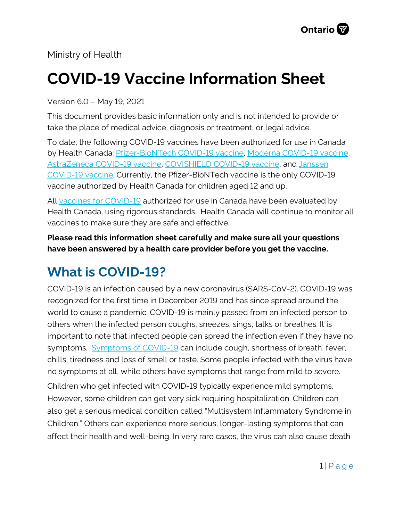Ministry of Health

# **COVID-19 Vaccine Information Sheet**

Version 6.0 – May 19, 2021

This document provides basic information only and is not intended to provide or take the place of medical advice, diagnosis or treatment, or legal advice.

To date, the following COVID-19 vaccines have been authorized for use in Canada by Health Canada: [Pfizer-BioNTech COVID-19 vaccine,](https://covid-vaccine.canada.ca/pfizer-biontech-covid-19-vaccine/product-details) [Moderna COVID-19 vaccine,](https://covid-vaccine.canada.ca/covid-19-vaccine-moderna/product-details)  [AstraZeneca COVID-19 vaccine,](https://covid-vaccine.canada.ca/astrazeneca-covid-19-vaccine/product-details) [COVISHIELD COVID-19 vaccine,](https://covid-vaccine.canada.ca/covishield/product-details) and [Janssen](https://covid-vaccine.canada.ca/janssen-covid-19-vaccine/product-details)  [COVID-19 vaccine.](https://covid-vaccine.canada.ca/janssen-covid-19-vaccine/product-details) Currently, the Pfizer-BioNTech vaccine is the only COVID-19 vaccine authorized by Health Canada for children aged 12 and up.

All [vaccines for COVID-19](https://www.canada.ca/en/public-health/services/diseases/coronavirus-disease-covid-19/vaccines.htm) authorized for use in Canada have been evaluated by Health Canada, using rigorous standards. Health Canada will continue to monitor all vaccines to make sure they are safe and effective.

**Please read this information sheet carefully and make sure all your questions have been answered by a health care provider before you get the vaccine.**

# **What is COVID-19?**

COVID-19 is an infection caused by a new coronavirus (SARS-CoV-2). COVID-19 was recognized for the first time in December 2019 and has since spread around the world to cause a pandemic. COVID-19 is mainly passed from an infected person to others when the infected person coughs, sneezes, sings, talks or breathes. It is important to note that infected people can spread the infection even if they have no symptoms. [Symptoms of COVID-19](https://www.canada.ca/en/public-health/services/diseases/2019-novel-coronavirus-infection/symptoms.html) can include cough, shortness of breath, fever, chills, tiredness and loss of smell or taste. Some people infected with the virus have no symptoms at all, while others have symptoms that range from mild to severe.

Children who get infected with COVID-19 typically experience mild symptoms. However, some children can get very sick requiring hospitalization. Children can also get a serious medical condition called "Multisystem Inflammatory Syndrome in Children." Others can experience more serious, longer-lasting symptoms that can affect their health and well-being. In very rare cases, the virus can also cause death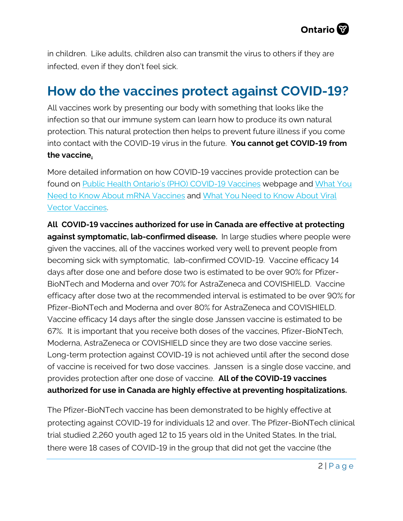

in children. Like adults, children also can transmit the virus to others if they are infected, even if they don't feel sick.

# **How do the vaccines protect against COVID-19?**

All vaccines work by presenting our body with something that looks like the infection so that our immune system can learn how to produce its own natural protection. This natural protection then helps to prevent future illness if you come into contact with the COVID-19 virus in the future. **You cannot get COVID-19 from the vaccine.**

More detailed information on how COVID-19 vaccines provide protection can be found on [Public Health Ontario's \(PHO\) COVID-19 Vaccines](https://www.publichealthontario.ca/en/diseases-and-conditions/infectious-diseases/respiratory-diseases/novel-coronavirus) webpage and [What You](https://www.publichealthontario.ca/-/media/documents/ncov/factsheet/2021/01/vac/factsheet-covid-19-vaccines.pdf?la=en)  [Need to Know About mRNA](https://www.publichealthontario.ca/-/media/documents/ncov/factsheet/2021/01/vac/factsheet-covid-19-vaccines.pdf?la=en) Vaccines and [What You Need to Know About Viral](https://www.publichealthontario.ca/-/media/documents/ncov/vaccines/2021/04/covid-19-fact-sheet-viral-vector-vaccines.pdf?la=en)  [Vector Vaccines.](https://www.publichealthontario.ca/-/media/documents/ncov/vaccines/2021/04/covid-19-fact-sheet-viral-vector-vaccines.pdf?la=en) 

**All COVID-19 vaccines authorized for use in Canada are effective at protecting against symptomatic, lab-confirmed disease.** In large studies where people were given the vaccines, all of the vaccines worked very well to prevent people from becoming sick with symptomatic, lab-confirmed COVID-19. Vaccine efficacy 14 days after dose one and before dose two is estimated to be over 90% for Pfizer-BioNTech and Moderna and over 70% for AstraZeneca and COVISHIELD. Vaccine efficacy after dose two at the recommended interval is estimated to be over 90% for Pfizer-BioNTech and Moderna and over 80% for AstraZeneca and COVISHIELD. Vaccine efficacy 14 days after the single dose Janssen vaccine is estimated to be 67%. It is important that you receive both doses of the vaccines, Pfizer-BioNTech, Moderna, AstraZeneca or COVISHIELD since they are two dose vaccine series. Long-term protection against COVID-19 is not achieved until after the second dose of vaccine is received for two dose vaccines. Janssen is a single dose vaccine, and provides protection after one dose of vaccine. **All of the COVID-19 vaccines authorized for use in Canada are highly effective at preventing hospitalizations.**

The Pfizer-BioNTech vaccine has been demonstrated to be highly effective at protecting against COVID-19 for individuals 12 and over. The Pfizer-BioNTech clinical trial studied 2,260 youth aged 12 to 15 years old in the United States. In the trial, there were 18 cases of COVID-19 in the group that did not get the vaccine (the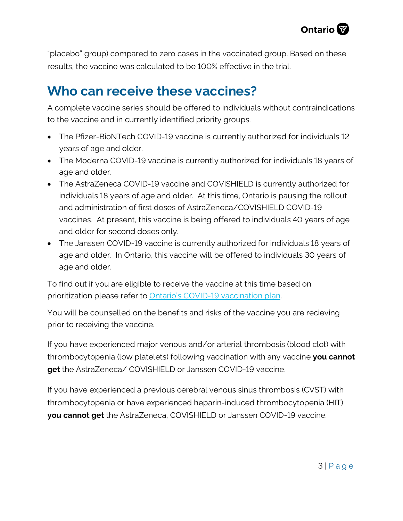"placebo" group) compared to zero cases in the vaccinated group. Based on these results, the vaccine was calculated to be 100% effective in the trial.

## **Who can receive these vaccines?**

A complete vaccine series should be offered to individuals without contraindications to the vaccine and in currently identified priority groups.

- The Pfizer-BioNTech COVID-19 vaccine is currently authorized for individuals 12 years of age and older.
- The Moderna COVID-19 vaccine is currently authorized for individuals 18 years of age and older.
- The AstraZeneca COVID-19 vaccine and COVISHIELD is currently authorized for individuals 18 years of age and older. At this time, Ontario is pausing the rollout and administration of first doses of AstraZeneca/COVISHIELD COVID-19 vaccines. At present, this vaccine is being offered to individuals 40 years of age and older for second doses only.
- The Janssen COVID-19 vaccine is currently authorized for individuals 18 years of age and older. In Ontario, this vaccine will be offered to individuals 30 years of age and older.

To find out if you are eligible to receive the vaccine at this time based on prioritization please refer to [Ontario's COVID-19 vaccination plan.](https://covid-19.ontario.ca/ontarios-covid-19-vaccination-plan) 

You will be counselled on the benefits and risks of the vaccine you are recieving prior to receiving the vaccine.

If you have experienced major venous and/or arterial thrombosis (blood clot) with thrombocytopenia (low platelets) following vaccination with any vaccine **you cannot get** the AstraZeneca/ COVISHIELD or Janssen COVID-19 vaccine.

If you have experienced a previous cerebral venous sinus thrombosis (CVST) with thrombocytopenia or have experienced heparin-induced thrombocytopenia (HIT) **you cannot get** the AstraZeneca, COVISHIELD or Janssen COVID-19 vaccine.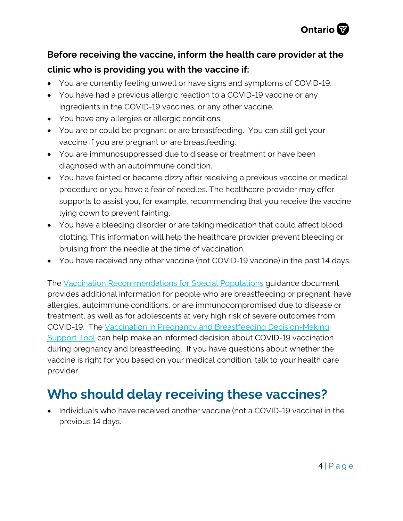

#### **Before receiving the vaccine, inform the health care provider at the clinic who is providing you with the vaccine if:**

- You are currently feeling unwell or have signs and symptoms of COVID-19.
- You have had a previous allergic reaction to a COVID-19 vaccine or any ingredients in the COVID-19 vaccines, or any other vaccine.
- You have any allergies or allergic conditions.
- You are or could be pregnant or are breastfeeding. You can still get your vaccine if you are pregnant or are breastfeeding.
- You are immunosuppressed due to disease or treatment or have been diagnosed with an autoimmune condition.
- You have fainted or became dizzy after receiving a previous vaccine or medical procedure or you have a fear of needles. The healthcare provider may offer supports to assist you, for example, recommending that you receive the vaccine lying down to prevent fainting.
- You have a bleeding disorder or are taking medication that could affect blood clotting. This information will help the healthcare provider prevent bleeding or bruising from the needle at the time of vaccination.
- You have received any other vaccine (not COVID-19 vaccine) in the past 14 days.

The [Vaccination Recommendations for Special Populations](https://www.health.gov.on.ca/en/pro/programs/publichealth/coronavirus/docs/vaccine/COVID-19_vaccination_rec_special_populations.pdf) guidance document provides additional information for people who are breastfeeding or pregnant, have allergies, autoimmune conditions, or are immunocompromised due to disease or treatment, as well as for adolescents at very high risk of severe outcomes from COVID-19. The [Vaccination in Pregnancy and Breastfeeding Decision-Making](https://www.health.gov.on.ca/en/pro/programs/publichealth/coronavirus/docs/vaccine/COVID-19_vaccination_pregnancy_clinical_support_tool.pdf) [Support Tool](https://www.health.gov.on.ca/en/pro/programs/publichealth/coronavirus/docs/vaccine/COVID-19_vaccination_pregnancy_clinical_support_tool.pdf) can help make an informed decision about COVID-19 vaccination during pregnancy and breastfeeding. If you have questions about whether the vaccine is right for you based on your medical condition, talk to your health care provider.

# **Who should delay receiving these vaccines?**

• Individuals who have received another vaccine (not a COVID-19 vaccine) in the previous 14 days.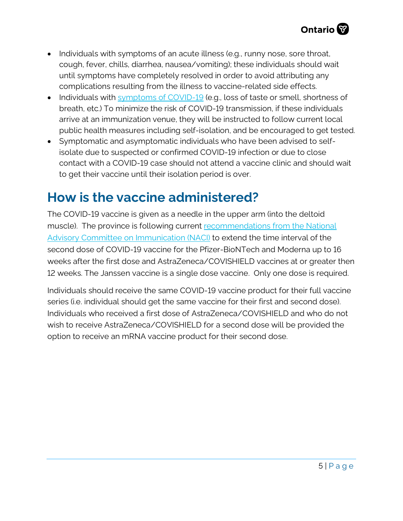- Individuals with symptoms of an acute illness (e.g., runny nose, sore throat, cough, fever, chills, diarrhea, nausea/vomiting); these individuals should wait until symptoms have completely resolved in order to avoid attributing any complications resulting from the illness to vaccine-related side effects.
- Individuals with [symptoms of COVID-19](https://www.canada.ca/en/public-health/services/diseases/2019-novel-coronavirus-infection/symptoms.html?utm_campaign=hc-sc-phm-21-22&utm_medium=sem&utm_source=ggl-grant&utm_content=ad-text-en&utm_term=coronavirus&adv=2122-0008&id_campaign=12663558361&id_source=119762101589&id_content=511679450570) (e.g., loss of taste or smell, shortness of breath, etc.) To minimize the risk of COVID-19 transmission, if these individuals arrive at an immunization venue, they will be instructed to follow current local public health measures including self-isolation, and be encouraged to get tested.
- Symptomatic and asymptomatic individuals who have been advised to selfisolate due to suspected or confirmed COVID-19 infection or due to close contact with a COVID-19 case should not attend a vaccine clinic and should wait to get their vaccine until their isolation period is over.

# **How is the vaccine administered?**

The COVID-19 vaccine is given as a needle in the upper arm (into the deltoid muscle). The province is following current recommendations from the National [Advisory Committee on Immunication \(NACI\)](https://www.canada.ca/en/public-health/services/immunization/national-advisory-committee-on-immunization-naci/recommendations-use-covid-19-vaccines.html) to extend the time interval of the second dose of COVID-19 vaccine for the Pfizer-BioNTech and Moderna up to 16 weeks after the first dose and AstraZeneca/COVISHIELD vaccines at or greater then 12 weeks. The Janssen vaccine is a single dose vaccine. Only one dose is required.

Individuals should receive the same COVID-19 vaccine product for their full vaccine series (i.e. individual should get the same vaccine for their first and second dose). Individuals who received a first dose of AstraZeneca/COVISHIELD and who do not wish to receive AstraZeneca/COVISHIELD for a second dose will be provided the option to receive an mRNA vaccine product for their second dose.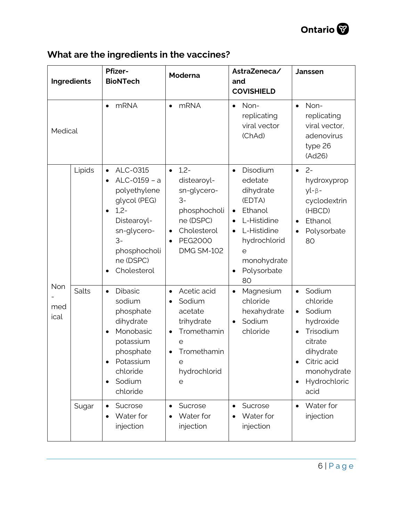

### **What are the ingredients in the vaccines?**

| Ingredients        |              | <b>Pfizer-</b><br><b>BioNTech</b>                                                                                                                                                                        | Moderna                                                                                                                                                   | AstraZeneca/<br>and<br><b>COVISHIELD</b>                                                                                                                               | <b>Janssen</b>                                                                                                                                                                           |
|--------------------|--------------|----------------------------------------------------------------------------------------------------------------------------------------------------------------------------------------------------------|-----------------------------------------------------------------------------------------------------------------------------------------------------------|------------------------------------------------------------------------------------------------------------------------------------------------------------------------|------------------------------------------------------------------------------------------------------------------------------------------------------------------------------------------|
| Medical            |              | <b>mRNA</b><br>$\bullet$                                                                                                                                                                                 | <b>mRNA</b><br>$\bullet$                                                                                                                                  | Non-<br>$\bullet$<br>replicating<br>viral vector<br>(ChAd)                                                                                                             | Non-<br>$\bullet$<br>replicating<br>viral vector,<br>adenovirus<br>type 26<br>(Ad26)                                                                                                     |
| Non<br>med<br>ical | Lipids       | ALC-0315<br>$\bullet$<br>ALC-0159 - a<br>$\bullet$<br>polyethylene<br>glycol (PEG)<br>$1,2-$<br>$\bullet$<br>Distearoyl-<br>sn-glycero-<br>$3-$<br>phosphocholi<br>ne (DSPC)<br>Cholesterol<br>$\bullet$ | $1,2-$<br>$\bullet$<br>distearoyl-<br>sn-glycero-<br>$3-$<br>phosphocholi<br>ne (DSPC)<br>Cholesterol<br><b>PEG2000</b><br>$\bullet$<br><b>DMG SM-102</b> | Disodium<br>$\bullet$<br>edetate<br>dihydrate<br>(EDTA)<br>Ethanol<br>$\bullet$<br>L-Histidine<br>L-Histidine<br>hydrochlorid<br>e<br>monohydrate<br>Polysorbate<br>80 | $2 -$<br>$\bullet$<br>hydroxyprop<br>$yl - \beta -$<br>cyclodextrin<br>(HBCD)<br>Ethanol<br>$\bullet$<br>Polysorbate<br>$\bullet$<br>80                                                  |
|                    | <b>Salts</b> | <b>Dibasic</b><br>$\bullet$<br>sodium<br>phosphate<br>dihydrate<br>Monobasic<br>$\bullet$<br>potassium<br>phosphate<br>Potassium<br>chloride<br>Sodium<br>$\bullet$<br>chloride                          | Acetic acid<br>$\bullet$<br>Sodium<br>acetate<br>trihydrate<br>Tromethamin<br>$\bullet$<br>е<br>Tromethamin<br>$\bullet$<br>е<br>hydrochlorid<br>е        | Magnesium<br>$\bullet$<br>chloride<br>hexahydrate<br>Sodium<br>chloride                                                                                                | Sodium<br>$\bullet$<br>chloride<br>Sodium<br>$\bullet$<br>hydroxide<br>Trisodium<br>$\bullet$<br>citrate<br>dihydrate<br>Citric acid<br>monohydrate<br>Hydrochloric<br>$\bullet$<br>acid |
|                    | Sugar        | Sucrose<br>$\bullet$<br>Water for<br>$\bullet$<br>injection                                                                                                                                              | Sucrose<br>Water for<br>injection                                                                                                                         | Sucrose<br>Water for<br>injection                                                                                                                                      | Water for<br>$\bullet$<br>injection                                                                                                                                                      |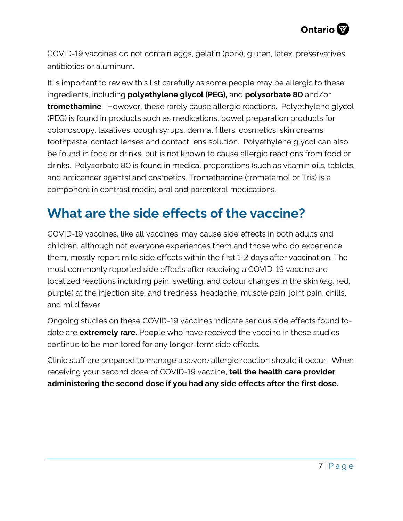COVID-19 vaccines do not contain eggs, gelatin (pork), gluten, latex, preservatives, antibiotics or aluminum.

It is important to review this list carefully as some people may be allergic to these ingredients, including **polyethylene glycol (PEG),** and **polysorbate 80** and/or **tromethamine**. However, these rarely cause allergic reactions. Polyethylene glycol (PEG) is found in products such as medications, bowel preparation products for colonoscopy, laxatives, cough syrups, dermal fillers, cosmetics, skin creams, toothpaste, contact lenses and contact lens solution. Polyethylene glycol can also be found in food or drinks, but is not known to cause allergic reactions from food or drinks. Polysorbate 80 is found in medical preparations (such as vitamin oils, tablets, and anticancer agents) and cosmetics. Tromethamine (trometamol or Tris) is a component in contrast media, oral and parenteral medications.

# **What are the side effects of the vaccine?**

COVID-19 vaccines, like all vaccines, may cause side effects in both adults and children, although not everyone experiences them and those who do experience them, mostly report mild side effects within the first 1-2 days after vaccination. The most commonly reported side effects after receiving a COVID-19 vaccine are localized reactions including pain, swelling, and colour changes in the skin (e.g. red, purple) at the injection site, and tiredness, headache, muscle pain, joint pain, chills, and mild fever.

Ongoing studies on these COVID-19 vaccines indicate serious side effects found todate are **extremely rare.** People who have received the vaccine in these studies continue to be monitored for any longer-term side effects.

Clinic staff are prepared to manage a severe allergic reaction should it occur. When receiving your second dose of COVID-19 vaccine, **tell the health care provider administering the second dose if you had any side effects after the first dose.**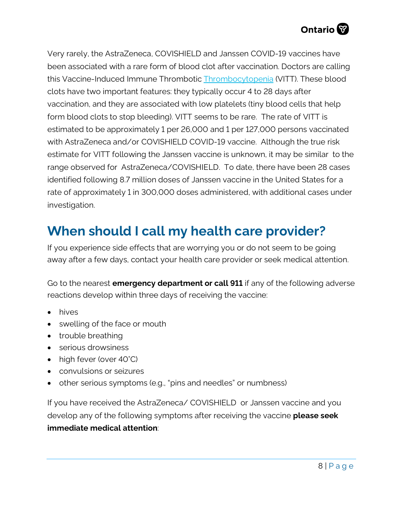

Very rarely, the AstraZeneca, COVISHIELD and Janssen COVID-19 vaccines have been associated with a rare form of blood clot after vaccination. Doctors are calling this Vaccine-Induced Immune Thrombotic **[Thrombocytopenia](https://covid19-sciencetable.ca/glossary/#thrombocytopenia) (VITT)**. These blood clots have two important features: they typically occur 4 to 28 days after vaccination, and they are associated with low platelets (tiny blood cells that help form blood clots to stop bleeding). VITT seems to be rare. The rate of VITT is estimated to be approximately 1 per 26,000 and 1 per 127,000 persons vaccinated with AstraZeneca and/or COVISHIELD COVID-19 vaccine. Although the true risk estimate for VITT following the Janssen vaccine is unknown, it may be similar to the range observed for AstraZeneca/COVISHIELD. To date, there have been 28 cases identified following 8.7 million doses of Janssen vaccine in the United States for a rate of approximately 1 in 300,000 doses administered, with additional cases under investigation.

# **When should I call my health care provider?**

If you experience side effects that are worrying you or do not seem to be going away after a few days, contact your health care provider or seek medical attention.

Go to the nearest **emergency department or call 911** if any of the following adverse reactions develop within three days of receiving the vaccine:

- hives
- swelling of the face or mouth
- trouble breathing
- serious drowsiness
- high fever (over 40°C)
- convulsions or seizures
- other serious symptoms (e.g., "pins and needles" or numbness)

If you have received the AstraZeneca/ COVISHIELD or Janssen vaccine and you develop any of the following symptoms after receiving the vaccine **please seek immediate medical attention**: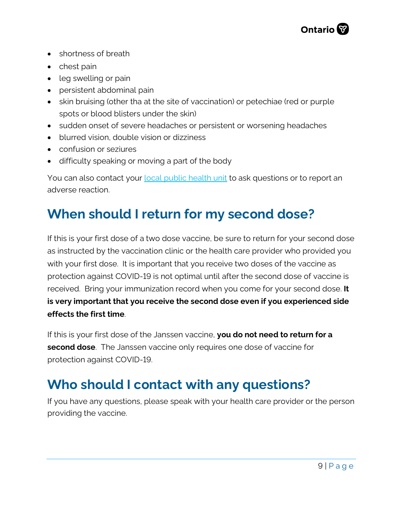

- shortness of breath
- chest pain
- leg swelling or pain
- persistent abdominal pain
- skin bruising (other tha at the site of vaccination) or petechiae (red or purple spots or blood blisters under the skin)
- sudden onset of severe headaches or persistent or worsening headaches
- blurred vision, double vision or dizziness
- confusion or seziures
- difficulty speaking or moving a part of the body

You can also contact your [local public health unit](http://www.health.gov.on.ca/en/common/system/services/phu/locations.aspx) to ask questions or to report an adverse reaction.

### **When should I return for my second dose?**

If this is your first dose of a two dose vaccine, be sure to return for your second dose as instructed by the vaccination clinic or the health care provider who provided you with your first dose. It is important that you receive two doses of the vaccine as protection against COVID-19 is not optimal until after the second dose of vaccine is received. Bring your immunization record when you come for your second dose. **It is very important that you receive the second dose even if you experienced side effects the first time**.

If this is your first dose of the Janssen vaccine, **you do not need to return for a second dose**. The Janssen vaccine only requires one dose of vaccine for protection against COVID-19.

## **Who should I contact with any questions?**

If you have any questions, please speak with your health care provider or the person providing the vaccine.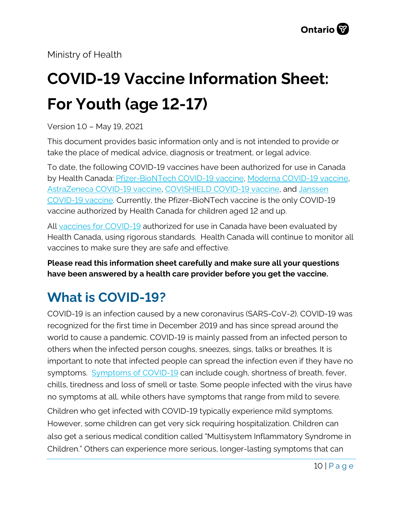Ministry of Health

# **COVID-19 Vaccine Information Sheet: For Youth (age 12-17)**

Version 1.0 – May 19, 2021

This document provides basic information only and is not intended to provide or take the place of medical advice, diagnosis or treatment, or legal advice.

To date, the following COVID-19 vaccines have been authorized for use in Canada by Health Canada: [Pfizer-BioNTech COVID-19 vaccine,](https://covid-vaccine.canada.ca/pfizer-biontech-covid-19-vaccine/product-details) [Moderna COVID-19 vaccine,](https://covid-vaccine.canada.ca/covid-19-vaccine-moderna/product-details)  [AstraZeneca COVID-19 vaccine,](https://covid-vaccine.canada.ca/astrazeneca-covid-19-vaccine/product-details) [COVISHIELD COVID-19 vaccine,](https://covid-vaccine.canada.ca/covishield/product-details) and [Janssen](https://covid-vaccine.canada.ca/janssen-covid-19-vaccine/product-details)  [COVID-19 vaccine.](https://covid-vaccine.canada.ca/janssen-covid-19-vaccine/product-details) Currently, the Pfizer-BioNTech vaccine is the only COVID-19 vaccine authorized by Health Canada for children aged 12 and up.

All [vaccines for COVID-19](https://www.canada.ca/en/public-health/services/diseases/coronavirus-disease-covid-19/vaccines.htm) authorized for use in Canada have been evaluated by Health Canada, using rigorous standards. Health Canada will continue to monitor all vaccines to make sure they are safe and effective.

**Please read this information sheet carefully and make sure all your questions have been answered by a health care provider before you get the vaccine.**

# **What is COVID-19?**

COVID-19 is an infection caused by a new coronavirus (SARS-CoV-2). COVID-19 was recognized for the first time in December 2019 and has since spread around the world to cause a pandemic. COVID-19 is mainly passed from an infected person to others when the infected person coughs, sneezes, sings, talks or breathes. It is important to note that infected people can spread the infection even if they have no symptoms. [Symptoms of COVID-19](https://www.canada.ca/en/public-health/services/diseases/2019-novel-coronavirus-infection/symptoms.html) can include cough, shortness of breath, fever, chills, tiredness and loss of smell or taste. Some people infected with the virus have no symptoms at all, while others have symptoms that range from mild to severe. Children who get infected with COVID-19 typically experience mild symptoms. However, some children can get very sick requiring hospitalization. Children can also get a serious medical condition called "Multisystem Inflammatory Syndrome in Children." Others can experience more serious, longer-lasting symptoms that can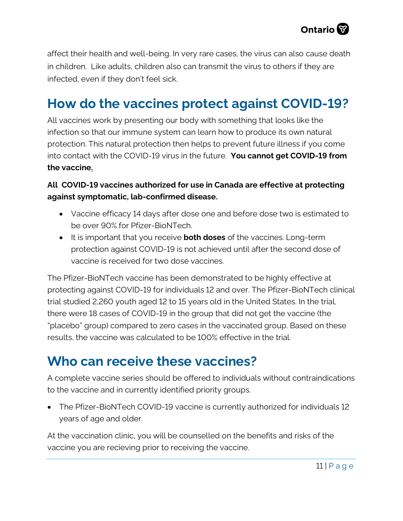

affect their health and well-being. In very rare cases, the virus can also cause death in children. Like adults, children also can transmit the virus to others if they are infected, even if they don't feel sick.

# **How do the vaccines protect against COVID-19?**

All vaccines work by presenting our body with something that looks like the infection so that our immune system can learn how to produce its own natural protection. This natural protection then helps to prevent future illness if you come into contact with the COVID-19 virus in the future. **You cannot get COVID-19 from the vaccine.**

#### **All COVID-19 vaccines authorized for use in Canada are effective at protecting against symptomatic, lab-confirmed disease.**

- Vaccine efficacy 14 days after dose one and before dose two is estimated to be over 90% for Pfizer-BioNTech.
- It is important that you receive **both doses** of the vaccines. Long-term protection against COVID-19 is not achieved until after the second dose of vaccine is received for two dose vaccines.

The Pfizer-BioNTech vaccine has been demonstrated to be highly effective at protecting against COVID-19 for individuals 12 and over. The Pfizer-BioNTech clinical trial studied 2,260 youth aged 12 to 15 years old in the United States. In the trial, there were 18 cases of COVID-19 in the group that did not get the vaccine (the "placebo" group) compared to zero cases in the vaccinated group. Based on these results, the vaccine was calculated to be 100% effective in the trial.

## **Who can receive these vaccines?**

A complete vaccine series should be offered to individuals without contraindications to the vaccine and in currently identified priority groups.

• The Pfizer-BioNTech COVID-19 vaccine is currently authorized for individuals 12 years of age and older.

At the vaccination clinic, you will be counselled on the benefits and risks of the vaccine you are recieving prior to receiving the vaccine.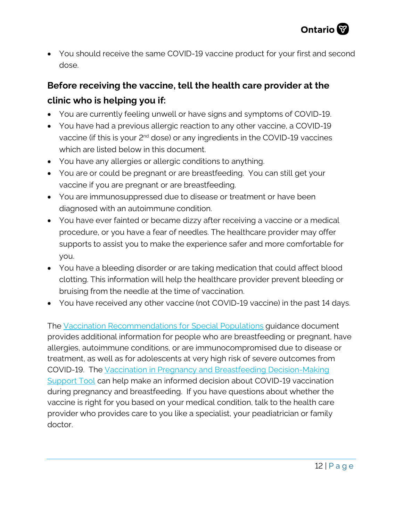• You should receive the same COVID-19 vaccine product for your first and second dose.

#### **Before receiving the vaccine, tell the health care provider at the clinic who is helping you if:**

- You are currently feeling unwell or have signs and symptoms of COVID-19.
- You have had a previous allergic reaction to any other vaccine, a COVID-19 vaccine (if this is your 2<sup>nd</sup> dose) or any ingredients in the COVID-19 vaccines which are listed below in this document.
- You have any allergies or allergic conditions to anything.
- You are or could be pregnant or are breastfeeding. You can still get your vaccine if you are pregnant or are breastfeeding.
- You are immunosuppressed due to disease or treatment or have been diagnosed with an autoimmune condition.
- You have ever fainted or became dizzy after receiving a vaccine or a medical procedure, or you have a fear of needles. The healthcare provider may offer supports to assist you to make the experience safer and more comfortable for you.
- You have a bleeding disorder or are taking medication that could affect blood clotting. This information will help the healthcare provider prevent bleeding or bruising from the needle at the time of vaccination.
- You have received any other vaccine (not COVID-19 vaccine) in the past 14 days.

The [Vaccination Recommendations for Special Populations](https://www.health.gov.on.ca/en/pro/programs/publichealth/coronavirus/docs/vaccine/COVID-19_vaccination_rec_special_populations.pdf) guidance document provides additional information for people who are breastfeeding or pregnant, have allergies, autoimmune conditions, or are immunocompromised due to disease or treatment, as well as for adolescents at very high risk of severe outcomes from COVID-19. The [Vaccination in Pregnancy and Breastfeeding Decision-Making](https://www.health.gov.on.ca/en/pro/programs/publichealth/coronavirus/docs/vaccine/COVID-19_vaccination_pregnancy_clinical_support_tool.pdf) [Support Tool](https://www.health.gov.on.ca/en/pro/programs/publichealth/coronavirus/docs/vaccine/COVID-19_vaccination_pregnancy_clinical_support_tool.pdf) can help make an informed decision about COVID-19 vaccination during pregnancy and breastfeeding. If you have questions about whether the vaccine is right for you based on your medical condition, talk to the health care provider who provides care to you like a specialist, your peadiatrician or family doctor.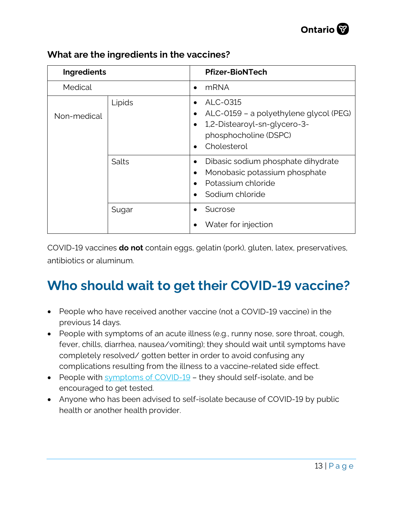

| Ingredients |        |                             | <b>Pfizer-BioNTech</b>                                                                                                     |
|-------------|--------|-----------------------------|----------------------------------------------------------------------------------------------------------------------------|
| Medical     |        |                             | <b>mRNA</b>                                                                                                                |
| Non-medical | Lipids | ٠<br>$\bullet$<br>$\bullet$ | ALC-0315<br>ALC-0159 - a polyethylene glycol (PEG)<br>1,2-Distearoyl-sn-glycero-3-<br>phosphocholine (DSPC)<br>Cholesterol |
|             | Salts  | ٠<br>$\bullet$              | Dibasic sodium phosphate dihydrate<br>Monobasic potassium phosphate<br>Potassium chloride<br>Sodium chloride               |
|             | Sugar  |                             | Sucrose<br>Water for injection                                                                                             |

#### **What are the ingredients in the vaccines?**

COVID-19 vaccines **do not** contain eggs, gelatin (pork), gluten, latex, preservatives, antibiotics or aluminum.

# **Who should wait to get their COVID-19 vaccine?**

- People who have received another vaccine (not a COVID-19 vaccine) in the previous 14 days.
- People with symptoms of an acute illness (e.g., runny nose, sore throat, cough, fever, chills, diarrhea, nausea/vomiting); they should wait until symptoms have completely resolved/ gotten better in order to avoid confusing any complications resulting from the illness to a vaccine-related side effect.
- People with [symptoms of COVID-19](https://www.canada.ca/en/public-health/services/diseases/2019-novel-coronavirus-infection/symptoms.html?utm_campaign=hc-sc-phm-21-22&utm_medium=sem&utm_source=ggl-grant&utm_content=ad-text-en&utm_term=coronavirus&adv=2122-0008&id_campaign=12663558361&id_source=119762101589&id_content=511679450570)  they should self-isolate, and be encouraged to get tested.
- Anyone who has been advised to self-isolate because of COVID-19 by public health or another health provider.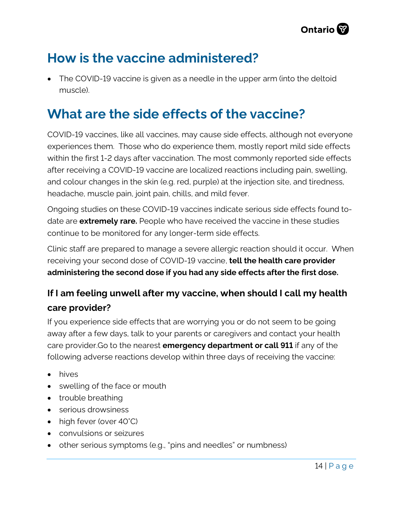

# **How is the vaccine administered?**

• The COVID-19 vaccine is given as a needle in the upper arm (into the deltoid muscle).

# **What are the side effects of the vaccine?**

COVID-19 vaccines, like all vaccines, may cause side effects, although not everyone experiences them. Those who do experience them, mostly report mild side effects within the first 1-2 days after vaccination. The most commonly reported side effects after receiving a COVID-19 vaccine are localized reactions including pain, swelling, and colour changes in the skin (e.g. red, purple) at the injection site, and tiredness, headache, muscle pain, joint pain, chills, and mild fever.

Ongoing studies on these COVID-19 vaccines indicate serious side effects found todate are **extremely rare.** People who have received the vaccine in these studies continue to be monitored for any longer-term side effects.

Clinic staff are prepared to manage a severe allergic reaction should it occur. When receiving your second dose of COVID-19 vaccine, **tell the health care provider administering the second dose if you had any side effects after the first dose.**

#### **If I am feeling unwell after my vaccine, when should I call my health care provider?**

If you experience side effects that are worrying you or do not seem to be going away after a few days, talk to your parents or caregivers and contact your health care provider.Go to the nearest **emergency department or call 911** if any of the following adverse reactions develop within three days of receiving the vaccine:

- hives
- swelling of the face or mouth
- trouble breathing
- serious drowsiness
- high fever (over 40°C)
- convulsions or seizures
- other serious symptoms (e.g., "pins and needles" or numbness)